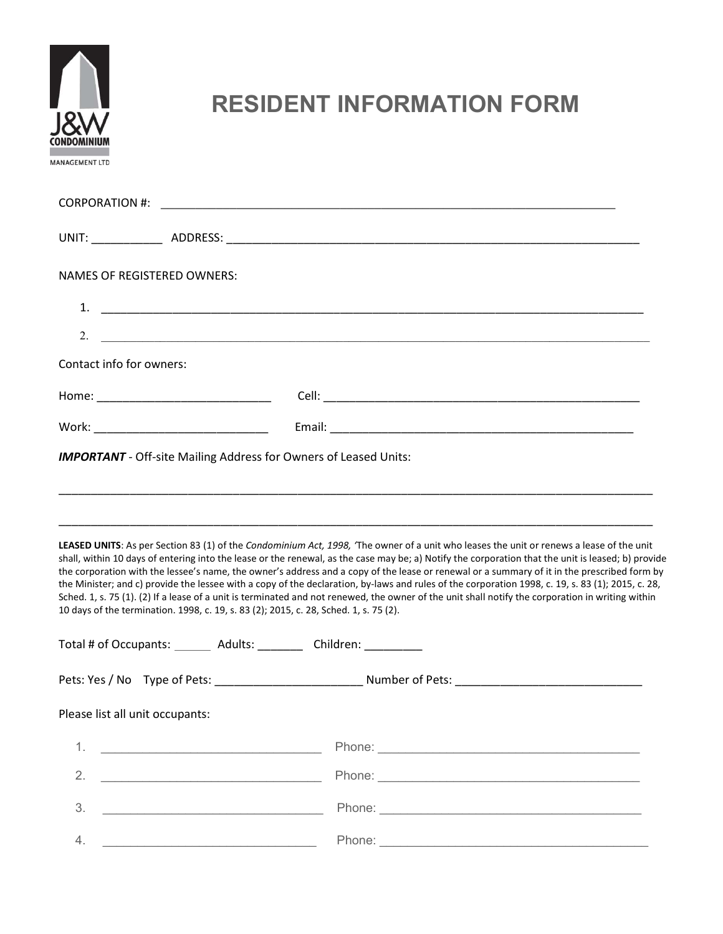

## RESIDENT INFORMATION FORM

| <b>NAMES OF REGISTERED OWNERS:</b>       |                                                                                                                                                                                                                                                                                                                                                                                                                                                                                                                                                                                                                                                                                                                                                                                                                                                  |  |
|------------------------------------------|--------------------------------------------------------------------------------------------------------------------------------------------------------------------------------------------------------------------------------------------------------------------------------------------------------------------------------------------------------------------------------------------------------------------------------------------------------------------------------------------------------------------------------------------------------------------------------------------------------------------------------------------------------------------------------------------------------------------------------------------------------------------------------------------------------------------------------------------------|--|
| 1.                                       |                                                                                                                                                                                                                                                                                                                                                                                                                                                                                                                                                                                                                                                                                                                                                                                                                                                  |  |
| 2.                                       | <u> 1989 - Andrea San Andrea San Andrea San Andrea San Andrea San Andrea San Andrea San Andrea San Andrea San A</u>                                                                                                                                                                                                                                                                                                                                                                                                                                                                                                                                                                                                                                                                                                                              |  |
| Contact info for owners:                 |                                                                                                                                                                                                                                                                                                                                                                                                                                                                                                                                                                                                                                                                                                                                                                                                                                                  |  |
| Home: __________________________________ |                                                                                                                                                                                                                                                                                                                                                                                                                                                                                                                                                                                                                                                                                                                                                                                                                                                  |  |
|                                          |                                                                                                                                                                                                                                                                                                                                                                                                                                                                                                                                                                                                                                                                                                                                                                                                                                                  |  |
|                                          | LEASED UNITS: As per Section 83 (1) of the Condominium Act, 1998, 'The owner of a unit who leases the unit or renews a lease of the unit<br>shall, within 10 days of entering into the lease or the renewal, as the case may be; a) Notify the corporation that the unit is leased; b) provide<br>the corporation with the lessee's name, the owner's address and a copy of the lease or renewal or a summary of it in the prescribed form by<br>the Minister; and c) provide the lessee with a copy of the declaration, by-laws and rules of the corporation 1998, c. 19, s. 83 (1); 2015, c. 28,<br>Sched. 1, s. 75 (1). (2) If a lease of a unit is terminated and not renewed, the owner of the unit shall notify the corporation in writing within<br>10 days of the termination. 1998, c. 19, s. 83 (2); 2015, c. 28, Sched. 1, s. 75 (2). |  |
|                                          | Total # of Occupants: _________ Adults: ___________ Children: ___________                                                                                                                                                                                                                                                                                                                                                                                                                                                                                                                                                                                                                                                                                                                                                                        |  |
|                                          |                                                                                                                                                                                                                                                                                                                                                                                                                                                                                                                                                                                                                                                                                                                                                                                                                                                  |  |
| Please list all unit occupants:          |                                                                                                                                                                                                                                                                                                                                                                                                                                                                                                                                                                                                                                                                                                                                                                                                                                                  |  |
|                                          | 1. $\overline{a}$ $\overline{a}$ $\overline{a}$ $\overline{a}$ $\overline{a}$ $\overline{a}$ $\overline{a}$ $\overline{a}$ $\overline{a}$ $\overline{a}$ $\overline{a}$ $\overline{a}$ $\overline{a}$ $\overline{a}$ $\overline{a}$ $\overline{a}$ $\overline{a}$ $\overline{a}$ $\overline{a}$ $\overline{a}$ $\overline{a}$ $\overline{a}$ $\overline{a}$ $\overline{a}$ $\$<br>Phone: The contract of the contract of the contract of the contract of the contract of the contract of the contract of the contract of the contract of the contract of the contract of the contract of the contract of the con                                                                                                                                                                                                                                 |  |
|                                          |                                                                                                                                                                                                                                                                                                                                                                                                                                                                                                                                                                                                                                                                                                                                                                                                                                                  |  |
| 3.                                       | <u> 2002 - Jan James James Jan James James James James James James James James James James James James James James James James James James James James James James James James James James James James James James James James J</u>                                                                                                                                                                                                                                                                                                                                                                                                                                                                                                                                                                                                             |  |
| 4.                                       |                                                                                                                                                                                                                                                                                                                                                                                                                                                                                                                                                                                                                                                                                                                                                                                                                                                  |  |